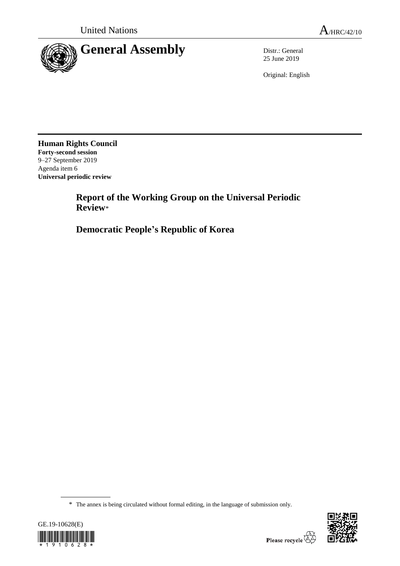

25 June 2019

Original: English

**Human Rights Council Forty-second session** 9–27 September 2019 Agenda item 6 **Universal periodic review**

> **Report of the Working Group on the Universal Periodic Review**\*

**Democratic People's Republic of Korea**

<sup>\*</sup> The annex is being circulated without formal editing, in the language of submission only.



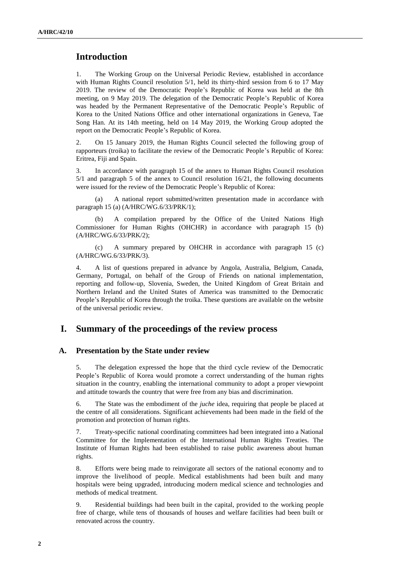## **Introduction**

1. The Working Group on the Universal Periodic Review, established in accordance with Human Rights Council resolution 5/1, held its thirty-third session from 6 to 17 May 2019. The review of the Democratic People's Republic of Korea was held at the 8th meeting, on 9 May 2019. The delegation of the Democratic People's Republic of Korea was headed by the Permanent Representative of the Democratic People's Republic of Korea to the United Nations Office and other international organizations in Geneva, Tae Song Han. At its 14th meeting, held on 14 May 2019, the Working Group adopted the report on the Democratic People's Republic of Korea.

2. On 15 January 2019, the Human Rights Council selected the following group of rapporteurs (troika) to facilitate the review of the Democratic People's Republic of Korea: Eritrea, Fiji and Spain.

3. In accordance with paragraph 15 of the annex to Human Rights Council resolution 5/1 and paragraph 5 of the annex to Council resolution 16/21, the following documents were issued for the review of the Democratic People's Republic of Korea:

(a) A national report submitted/written presentation made in accordance with paragraph 15 (a) (A/HRC/WG.6/33/PRK/1);

(b) A compilation prepared by the Office of the United Nations High Commissioner for Human Rights (OHCHR) in accordance with paragraph 15 (b) (A/HRC/WG.6/33/PRK/2);

(c) A summary prepared by OHCHR in accordance with paragraph 15 (c) (A/HRC/WG.6/33/PRK/3).

4. A list of questions prepared in advance by Angola, Australia, Belgium, Canada, Germany, Portugal, on behalf of the Group of Friends on national implementation, reporting and follow-up, Slovenia, Sweden, the United Kingdom of Great Britain and Northern Ireland and the United States of America was transmitted to the Democratic People's Republic of Korea through the troika. These questions are available on the website of the universal periodic review.

# **I. Summary of the proceedings of the review process**

### **A. Presentation by the State under review**

5. The delegation expressed the hope that the third cycle review of the Democratic People's Republic of Korea would promote a correct understanding of the human rights situation in the country, enabling the international community to adopt a proper viewpoint and attitude towards the country that were free from any bias and discrimination.

6. The State was the embodiment of the *juche* idea, requiring that people be placed at the centre of all considerations. Significant achievements had been made in the field of the promotion and protection of human rights.

7. Treaty-specific national coordinating committees had been integrated into a National Committee for the Implementation of the International Human Rights Treaties. The Institute of Human Rights had been established to raise public awareness about human rights.

8. Efforts were being made to reinvigorate all sectors of the national economy and to improve the livelihood of people. Medical establishments had been built and many hospitals were being upgraded, introducing modern medical science and technologies and methods of medical treatment.

9. Residential buildings had been built in the capital, provided to the working people free of charge, while tens of thousands of houses and welfare facilities had been built or renovated across the country.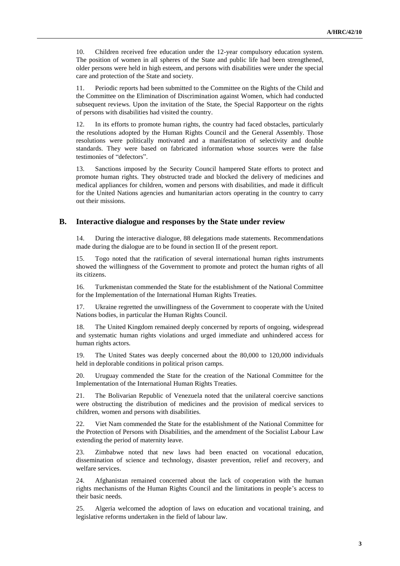10. Children received free education under the 12-year compulsory education system. The position of women in all spheres of the State and public life had been strengthened, older persons were held in high esteem, and persons with disabilities were under the special care and protection of the State and society.

11. Periodic reports had been submitted to the Committee on the Rights of the Child and the Committee on the Elimination of Discrimination against Women, which had conducted subsequent reviews. Upon the invitation of the State, the Special Rapporteur on the rights of persons with disabilities had visited the country.

12. In its efforts to promote human rights, the country had faced obstacles, particularly the resolutions adopted by the Human Rights Council and the General Assembly. Those resolutions were politically motivated and a manifestation of selectivity and double standards. They were based on fabricated information whose sources were the false testimonies of "defectors".

13. Sanctions imposed by the Security Council hampered State efforts to protect and promote human rights. They obstructed trade and blocked the delivery of medicines and medical appliances for children, women and persons with disabilities, and made it difficult for the United Nations agencies and humanitarian actors operating in the country to carry out their missions.

#### **B. Interactive dialogue and responses by the State under review**

14. During the interactive dialogue, 88 delegations made statements. Recommendations made during the dialogue are to be found in section II of the present report.

15. Togo noted that the ratification of several international human rights instruments showed the willingness of the Government to promote and protect the human rights of all its citizens.

16. Turkmenistan commended the State for the establishment of the National Committee for the Implementation of the International Human Rights Treaties.

17. Ukraine regretted the unwillingness of the Government to cooperate with the United Nations bodies, in particular the Human Rights Council.

18. The United Kingdom remained deeply concerned by reports of ongoing, widespread and systematic human rights violations and urged immediate and unhindered access for human rights actors.

19. The United States was deeply concerned about the 80,000 to 120,000 individuals held in deplorable conditions in political prison camps.

20. Uruguay commended the State for the creation of the National Committee for the Implementation of the International Human Rights Treaties.

21. The Bolivarian Republic of Venezuela noted that the unilateral coercive sanctions were obstructing the distribution of medicines and the provision of medical services to children, women and persons with disabilities.

22. Viet Nam commended the State for the establishment of the National Committee for the Protection of Persons with Disabilities, and the amendment of the Socialist Labour Law extending the period of maternity leave.

23. Zimbabwe noted that new laws had been enacted on vocational education, dissemination of science and technology, disaster prevention, relief and recovery, and welfare services.

24. Afghanistan remained concerned about the lack of cooperation with the human rights mechanisms of the Human Rights Council and the limitations in people's access to their basic needs.

25. Algeria welcomed the adoption of laws on education and vocational training, and legislative reforms undertaken in the field of labour law.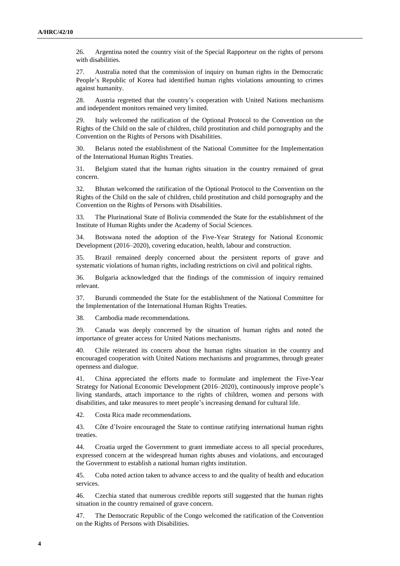26. Argentina noted the country visit of the Special Rapporteur on the rights of persons with disabilities.

27. Australia noted that the commission of inquiry on human rights in the Democratic People's Republic of Korea had identified human rights violations amounting to crimes against humanity.

28. Austria regretted that the country's cooperation with United Nations mechanisms and independent monitors remained very limited.

29. Italy welcomed the ratification of the Optional Protocol to the Convention on the Rights of the Child on the sale of children, child prostitution and child pornography and the Convention on the Rights of Persons with Disabilities.

30. Belarus noted the establishment of the National Committee for the Implementation of the International Human Rights Treaties.

31. Belgium stated that the human rights situation in the country remained of great concern.

32. Bhutan welcomed the ratification of the Optional Protocol to the Convention on the Rights of the Child on the sale of children, child prostitution and child pornography and the Convention on the Rights of Persons with Disabilities.

33. The Plurinational State of Bolivia commended the State for the establishment of the Institute of Human Rights under the Academy of Social Sciences.

34. Botswana noted the adoption of the Five-Year Strategy for National Economic Development (2016–2020), covering education, health, labour and construction.

35. Brazil remained deeply concerned about the persistent reports of grave and systematic violations of human rights, including restrictions on civil and political rights.

36. Bulgaria acknowledged that the findings of the commission of inquiry remained relevant.

37. Burundi commended the State for the establishment of the National Committee for the Implementation of the International Human Rights Treaties.

38. Cambodia made recommendations.

39. Canada was deeply concerned by the situation of human rights and noted the importance of greater access for United Nations mechanisms.

40. Chile reiterated its concern about the human rights situation in the country and encouraged cooperation with United Nations mechanisms and programmes, through greater openness and dialogue.

41. China appreciated the efforts made to formulate and implement the Five-Year Strategy for National Economic Development (2016–2020), continuously improve people's living standards, attach importance to the rights of children, women and persons with disabilities, and take measures to meet people's increasing demand for cultural life.

42. Costa Rica made recommendations.

43. Côte d'Ivoire encouraged the State to continue ratifying international human rights treaties.

44. Croatia urged the Government to grant immediate access to all special procedures, expressed concern at the widespread human rights abuses and violations, and encouraged the Government to establish a national human rights institution.

45. Cuba noted action taken to advance access to and the quality of health and education services.

46. Czechia stated that numerous credible reports still suggested that the human rights situation in the country remained of grave concern.

47. The Democratic Republic of the Congo welcomed the ratification of the Convention on the Rights of Persons with Disabilities.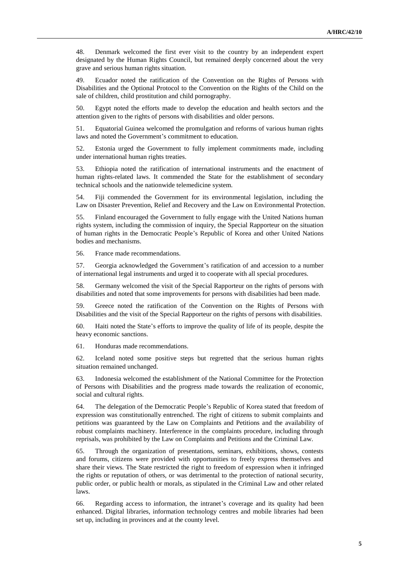48. Denmark welcomed the first ever visit to the country by an independent expert designated by the Human Rights Council, but remained deeply concerned about the very grave and serious human rights situation.

49. Ecuador noted the ratification of the Convention on the Rights of Persons with Disabilities and the Optional Protocol to the Convention on the Rights of the Child on the sale of children, child prostitution and child pornography.

50. Egypt noted the efforts made to develop the education and health sectors and the attention given to the rights of persons with disabilities and older persons.

51. Equatorial Guinea welcomed the promulgation and reforms of various human rights laws and noted the Government's commitment to education.

52. Estonia urged the Government to fully implement commitments made, including under international human rights treaties.

53. Ethiopia noted the ratification of international instruments and the enactment of human rights-related laws. It commended the State for the establishment of secondary technical schools and the nationwide telemedicine system.

54. Fiji commended the Government for its environmental legislation, including the Law on Disaster Prevention, Relief and Recovery and the Law on Environmental Protection.

55. Finland encouraged the Government to fully engage with the United Nations human rights system, including the commission of inquiry, the Special Rapporteur on the situation of human rights in the Democratic People's Republic of Korea and other United Nations bodies and mechanisms.

56. France made recommendations.

57. Georgia acknowledged the Government's ratification of and accession to a number of international legal instruments and urged it to cooperate with all special procedures.

58. Germany welcomed the visit of the Special Rapporteur on the rights of persons with disabilities and noted that some improvements for persons with disabilities had been made.

59. Greece noted the ratification of the Convention on the Rights of Persons with Disabilities and the visit of the Special Rapporteur on the rights of persons with disabilities.

60. Haiti noted the State's efforts to improve the quality of life of its people, despite the heavy economic sanctions.

61. Honduras made recommendations.

62. Iceland noted some positive steps but regretted that the serious human rights situation remained unchanged.

63. Indonesia welcomed the establishment of the National Committee for the Protection of Persons with Disabilities and the progress made towards the realization of economic, social and cultural rights.

64. The delegation of the Democratic People's Republic of Korea stated that freedom of expression was constitutionally entrenched. The right of citizens to submit complaints and petitions was guaranteed by the Law on Complaints and Petitions and the availability of robust complaints machinery. Interference in the complaints procedure, including through reprisals, was prohibited by the Law on Complaints and Petitions and the Criminal Law.

65. Through the organization of presentations, seminars, exhibitions, shows, contests and forums, citizens were provided with opportunities to freely express themselves and share their views. The State restricted the right to freedom of expression when it infringed the rights or reputation of others, or was detrimental to the protection of national security, public order, or public health or morals, as stipulated in the Criminal Law and other related laws.

66. Regarding access to information, the intranet's coverage and its quality had been enhanced. Digital libraries, information technology centres and mobile libraries had been set up, including in provinces and at the county level.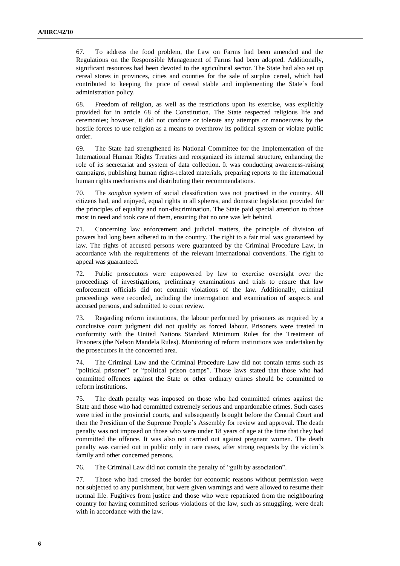67. To address the food problem, the Law on Farms had been amended and the Regulations on the Responsible Management of Farms had been adopted. Additionally, significant resources had been devoted to the agricultural sector. The State had also set up cereal stores in provinces, cities and counties for the sale of surplus cereal, which had contributed to keeping the price of cereal stable and implementing the State's food administration policy.

68. Freedom of religion, as well as the restrictions upon its exercise, was explicitly provided for in article 68 of the Constitution. The State respected religious life and ceremonies; however, it did not condone or tolerate any attempts or manoeuvres by the hostile forces to use religion as a means to overthrow its political system or violate public order.

69. The State had strengthened its National Committee for the Implementation of the International Human Rights Treaties and reorganized its internal structure, enhancing the role of its secretariat and system of data collection. It was conducting awareness-raising campaigns, publishing human rights-related materials, preparing reports to the international human rights mechanisms and distributing their recommendations.

70. The *songbun* system of social classification was not practised in the country. All citizens had, and enjoyed, equal rights in all spheres, and domestic legislation provided for the principles of equality and non-discrimination. The State paid special attention to those most in need and took care of them, ensuring that no one was left behind.

71. Concerning law enforcement and judicial matters, the principle of division of powers had long been adhered to in the country. The right to a fair trial was guaranteed by law. The rights of accused persons were guaranteed by the Criminal Procedure Law, in accordance with the requirements of the relevant international conventions. The right to appeal was guaranteed.

72. Public prosecutors were empowered by law to exercise oversight over the proceedings of investigations, preliminary examinations and trials to ensure that law enforcement officials did not commit violations of the law. Additionally, criminal proceedings were recorded, including the interrogation and examination of suspects and accused persons, and submitted to court review.

73. Regarding reform institutions, the labour performed by prisoners as required by a conclusive court judgment did not qualify as forced labour. Prisoners were treated in conformity with the United Nations Standard Minimum Rules for the Treatment of Prisoners (the Nelson Mandela Rules). Monitoring of reform institutions was undertaken by the prosecutors in the concerned area.

74. The Criminal Law and the Criminal Procedure Law did not contain terms such as "political prisoner" or "political prison camps". Those laws stated that those who had committed offences against the State or other ordinary crimes should be committed to reform institutions.

75. The death penalty was imposed on those who had committed crimes against the State and those who had committed extremely serious and unpardonable crimes. Such cases were tried in the provincial courts, and subsequently brought before the Central Court and then the Presidium of the Supreme People's Assembly for review and approval. The death penalty was not imposed on those who were under 18 years of age at the time that they had committed the offence. It was also not carried out against pregnant women. The death penalty was carried out in public only in rare cases, after strong requests by the victim's family and other concerned persons.

76. The Criminal Law did not contain the penalty of "guilt by association".

77. Those who had crossed the border for economic reasons without permission were not subjected to any punishment, but were given warnings and were allowed to resume their normal life. Fugitives from justice and those who were repatriated from the neighbouring country for having committed serious violations of the law, such as smuggling, were dealt with in accordance with the law.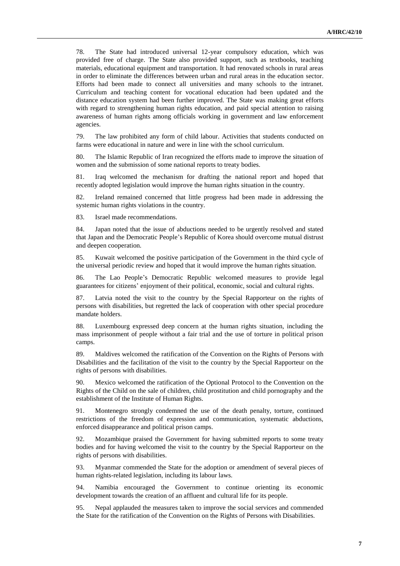78. The State had introduced universal 12-year compulsory education, which was provided free of charge. The State also provided support, such as textbooks, teaching materials, educational equipment and transportation. It had renovated schools in rural areas in order to eliminate the differences between urban and rural areas in the education sector. Efforts had been made to connect all universities and many schools to the intranet. Curriculum and teaching content for vocational education had been updated and the distance education system had been further improved. The State was making great efforts with regard to strengthening human rights education, and paid special attention to raising awareness of human rights among officials working in government and law enforcement agencies.

79. The law prohibited any form of child labour. Activities that students conducted on farms were educational in nature and were in line with the school curriculum.

80. The Islamic Republic of Iran recognized the efforts made to improve the situation of women and the submission of some national reports to treaty bodies.

81. Iraq welcomed the mechanism for drafting the national report and hoped that recently adopted legislation would improve the human rights situation in the country.

82. Ireland remained concerned that little progress had been made in addressing the systemic human rights violations in the country.

83. Israel made recommendations.

84. Japan noted that the issue of abductions needed to be urgently resolved and stated that Japan and the Democratic People's Republic of Korea should overcome mutual distrust and deepen cooperation.

85. Kuwait welcomed the positive participation of the Government in the third cycle of the universal periodic review and hoped that it would improve the human rights situation.

86. The Lao People's Democratic Republic welcomed measures to provide legal guarantees for citizens' enjoyment of their political, economic, social and cultural rights.

87. Latvia noted the visit to the country by the Special Rapporteur on the rights of persons with disabilities, but regretted the lack of cooperation with other special procedure mandate holders.

88. Luxembourg expressed deep concern at the human rights situation, including the mass imprisonment of people without a fair trial and the use of torture in political prison camps.

89. Maldives welcomed the ratification of the Convention on the Rights of Persons with Disabilities and the facilitation of the visit to the country by the Special Rapporteur on the rights of persons with disabilities.

90. Mexico welcomed the ratification of the Optional Protocol to the Convention on the Rights of the Child on the sale of children, child prostitution and child pornography and the establishment of the Institute of Human Rights.

91. Montenegro strongly condemned the use of the death penalty, torture, continued restrictions of the freedom of expression and communication, systematic abductions, enforced disappearance and political prison camps.

92. Mozambique praised the Government for having submitted reports to some treaty bodies and for having welcomed the visit to the country by the Special Rapporteur on the rights of persons with disabilities.

93. Myanmar commended the State for the adoption or amendment of several pieces of human rights-related legislation, including its labour laws.

94. Namibia encouraged the Government to continue orienting its economic development towards the creation of an affluent and cultural life for its people.

95. Nepal applauded the measures taken to improve the social services and commended the State for the ratification of the Convention on the Rights of Persons with Disabilities.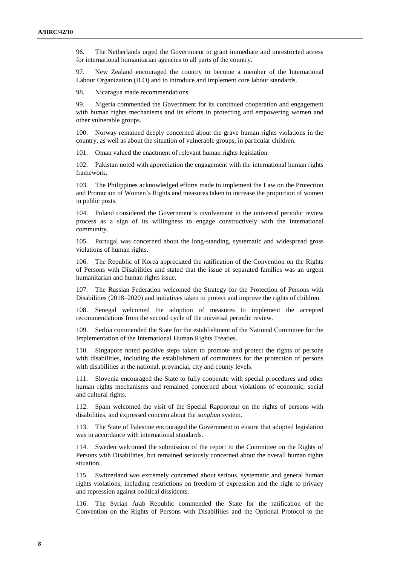96. The Netherlands urged the Government to grant immediate and unrestricted access for international humanitarian agencies to all parts of the country.

97. New Zealand encouraged the country to become a member of the International Labour Organization (ILO) and to introduce and implement core labour standards.

98. Nicaragua made recommendations.

99. Nigeria commended the Government for its continued cooperation and engagement with human rights mechanisms and its efforts in protecting and empowering women and other vulnerable groups.

100. Norway remained deeply concerned about the grave human rights violations in the country, as well as about the situation of vulnerable groups, in particular children.

101. Oman valued the enactment of relevant human rights legislation.

102. Pakistan noted with appreciation the engagement with the international human rights framework.

103. The Philippines acknowledged efforts made to implement the Law on the Protection and Promotion of Women's Rights and measures taken to increase the proportion of women in public posts.

104. Poland considered the Government's involvement in the universal periodic review process as a sign of its willingness to engage constructively with the international community.

105. Portugal was concerned about the long-standing, systematic and widespread gross violations of human rights.

106. The Republic of Korea appreciated the ratification of the Convention on the Rights of Persons with Disabilities and stated that the issue of separated families was an urgent humanitarian and human rights issue.

107. The Russian Federation welcomed the Strategy for the Protection of Persons with Disabilities (2018–2020) and initiatives taken to protect and improve the rights of children.

108. Senegal welcomed the adoption of measures to implement the accepted recommendations from the second cycle of the universal periodic review.

109. Serbia commended the State for the establishment of the National Committee for the Implementation of the International Human Rights Treaties.

110. Singapore noted positive steps taken to promote and protect the rights of persons with disabilities, including the establishment of committees for the protection of persons with disabilities at the national, provincial, city and county levels.

Slovenia encouraged the State to fully cooperate with special procedures and other human rights mechanisms and remained concerned about violations of economic, social and cultural rights.

Spain welcomed the visit of the Special Rapporteur on the rights of persons with disabilities, and expressed concern about the *songbun* system.

113. The State of Palestine encouraged the Government to ensure that adopted legislation was in accordance with international standards.

114. Sweden welcomed the submission of the report to the Committee on the Rights of Persons with Disabilities, but remained seriously concerned about the overall human rights situation.

115. Switzerland was extremely concerned about serious, systematic and general human rights violations, including restrictions on freedom of expression and the right to privacy and repression against political dissidents.

116. The Syrian Arab Republic commended the State for the ratification of the Convention on the Rights of Persons with Disabilities and the Optional Protocol to the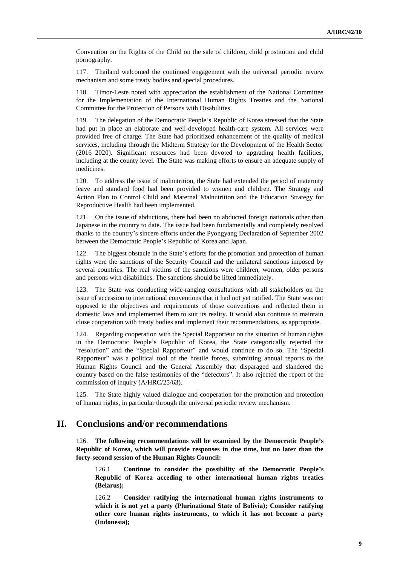Convention on the Rights of the Child on the sale of children, child prostitution and child pornography.

117. Thailand welcomed the continued engagement with the universal periodic review mechanism and some treaty bodies and special procedures.

118. Timor-Leste noted with appreciation the establishment of the National Committee for the Implementation of the International Human Rights Treaties and the National Committee for the Protection of Persons with Disabilities.

119. The delegation of the Democratic People's Republic of Korea stressed that the State had put in place an elaborate and well-developed health-care system. All services were provided free of charge. The State had prioritized enhancement of the quality of medical services, including through the Midterm Strategy for the Development of the Health Sector (2016–2020). Significant resources had been devoted to upgrading health facilities, including at the county level. The State was making efforts to ensure an adequate supply of medicines.

120. To address the issue of malnutrition, the State had extended the period of maternity leave and standard food had been provided to women and children. The Strategy and Action Plan to Control Child and Maternal Malnutrition and the Education Strategy for Reproductive Health had been implemented.

121. On the issue of abductions, there had been no abducted foreign nationals other than Japanese in the country to date. The issue had been fundamentally and completely resolved thanks to the country's sincere efforts under the Pyongyang Declaration of September 2002 between the Democratic People's Republic of Korea and Japan.

122. The biggest obstacle in the State's efforts for the promotion and protection of human rights were the sanctions of the Security Council and the unilateral sanctions imposed by several countries. The real victims of the sanctions were children, women, older persons and persons with disabilities. The sanctions should be lifted immediately.

123. The State was conducting wide-ranging consultations with all stakeholders on the issue of accession to international conventions that it had not yet ratified. The State was not opposed to the objectives and requirements of those conventions and reflected them in domestic laws and implemented them to suit its reality. It would also continue to maintain close cooperation with treaty bodies and implement their recommendations, as appropriate.

124. Regarding cooperation with the Special Rapporteur on the situation of human rights in the Democratic People's Republic of Korea, the State categorically rejected the "resolution" and the "Special Rapporteur" and would continue to do so. The "Special Rapporteur" was a political tool of the hostile forces, submitting annual reports to the Human Rights Council and the General Assembly that disparaged and slandered the country based on the false testimonies of the "defectors". It also rejected the report of the commission of inquiry (A/HRC/25/63).

125. The State highly valued dialogue and cooperation for the promotion and protection of human rights, in particular through the universal periodic review mechanism.

### **II. Conclusions and/or recommendations**

126. **The following recommendations will be examined by the Democratic People's Republic of Korea, which will provide responses in due time, but no later than the forty-second session of the Human Rights Council:**

126.1 **Continue to consider the possibility of the Democratic People's Republic of Korea acceding to other international human rights treaties (Belarus);**

126.2 **Consider ratifying the international human rights instruments to which it is not yet a party (Plurinational State of Bolivia); Consider ratifying other core human rights instruments, to which it has not become a party (Indonesia);**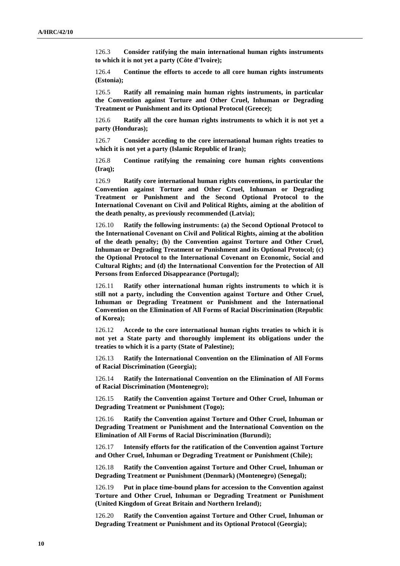126.3 **Consider ratifying the main international human rights instruments to which it is not yet a party (Côte d'Ivoire);**

126.4 **Continue the efforts to accede to all core human rights instruments (Estonia);**

126.5 **Ratify all remaining main human rights instruments, in particular the Convention against Torture and Other Cruel, Inhuman or Degrading Treatment or Punishment and its Optional Protocol (Greece);**

126.6 **Ratify all the core human rights instruments to which it is not yet a party (Honduras);**

126.7 **Consider acceding to the core international human rights treaties to which it is not yet a party (Islamic Republic of Iran);**

126.8 **Continue ratifying the remaining core human rights conventions (Iraq);**

126.9 **Ratify core international human rights conventions, in particular the Convention against Torture and Other Cruel, Inhuman or Degrading Treatment or Punishment and the Second Optional Protocol to the International Covenant on Civil and Political Rights, aiming at the abolition of the death penalty, as previously recommended (Latvia);**

126.10 **Ratify the following instruments: (a) the Second Optional Protocol to the International Covenant on Civil and Political Rights, aiming at the abolition of the death penalty; (b) the Convention against Torture and Other Cruel, Inhuman or Degrading Treatment or Punishment and its Optional Protocol; (c) the Optional Protocol to the International Covenant on Economic, Social and Cultural Rights; and (d) the International Convention for the Protection of All Persons from Enforced Disappearance (Portugal);**

126.11 **Ratify other international human rights instruments to which it is still not a party, including the Convention against Torture and Other Cruel, Inhuman or Degrading Treatment or Punishment and the International Convention on the Elimination of All Forms of Racial Discrimination (Republic of Korea);**

126.12 **Accede to the core international human rights treaties to which it is not yet a State party and thoroughly implement its obligations under the treaties to which it is a party (State of Palestine);**

126.13 **Ratify the International Convention on the Elimination of All Forms of Racial Discrimination (Georgia);**

126.14 **Ratify the International Convention on the Elimination of All Forms of Racial Discrimination (Montenegro);**

126.15 **Ratify the Convention against Torture and Other Cruel, Inhuman or Degrading Treatment or Punishment (Togo);**

126.16 **Ratify the Convention against Torture and Other Cruel, Inhuman or Degrading Treatment or Punishment and the International Convention on the Elimination of All Forms of Racial Discrimination (Burundi);**

126.17 **Intensify efforts for the ratification of the Convention against Torture and Other Cruel, Inhuman or Degrading Treatment or Punishment (Chile);**

126.18 **Ratify the Convention against Torture and Other Cruel, Inhuman or Degrading Treatment or Punishment (Denmark) (Montenegro) (Senegal);**

126.19 **Put in place time-bound plans for accession to the Convention against Torture and Other Cruel, Inhuman or Degrading Treatment or Punishment (United Kingdom of Great Britain and Northern Ireland);**

126.20 **Ratify the Convention against Torture and Other Cruel, Inhuman or Degrading Treatment or Punishment and its Optional Protocol (Georgia);**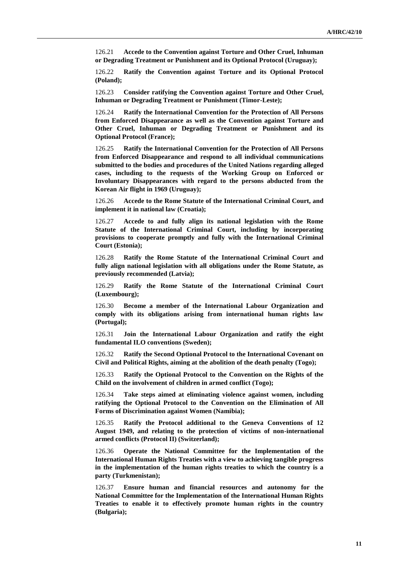126.21 **Accede to the Convention against Torture and Other Cruel, Inhuman or Degrading Treatment or Punishment and its Optional Protocol (Uruguay);**

126.22 **Ratify the Convention against Torture and its Optional Protocol (Poland);**

126.23 **Consider ratifying the Convention against Torture and Other Cruel, Inhuman or Degrading Treatment or Punishment (Timor-Leste);**

126.24 **Ratify the International Convention for the Protection of All Persons from Enforced Disappearance as well as the Convention against Torture and Other Cruel, Inhuman or Degrading Treatment or Punishment and its Optional Protocol (France);**

126.25 **Ratify the International Convention for the Protection of All Persons from Enforced Disappearance and respond to all individual communications submitted to the bodies and procedures of the United Nations regarding alleged cases, including to the requests of the Working Group on Enforced or Involuntary Disappearances with regard to the persons abducted from the Korean Air flight in 1969 (Uruguay);**

126.26 **Accede to the Rome Statute of the International Criminal Court, and implement it in national law (Croatia);**

126.27 **Accede to and fully align its national legislation with the Rome Statute of the International Criminal Court, including by incorporating provisions to cooperate promptly and fully with the International Criminal Court (Estonia);**

126.28 **Ratify the Rome Statute of the International Criminal Court and fully align national legislation with all obligations under the Rome Statute, as previously recommended (Latvia);**

126.29 **Ratify the Rome Statute of the International Criminal Court (Luxembourg);**

126.30 **Become a member of the International Labour Organization and comply with its obligations arising from international human rights law (Portugal);**

126.31 **Join the International Labour Organization and ratify the eight fundamental ILO conventions (Sweden);**

126.32 **Ratify the Second Optional Protocol to the International Covenant on Civil and Political Rights, aiming at the abolition of the death penalty (Togo);**

126.33 **Ratify the Optional Protocol to the Convention on the Rights of the Child on the involvement of children in armed conflict (Togo);**

126.34 **Take steps aimed at eliminating violence against women, including ratifying the Optional Protocol to the Convention on the Elimination of All Forms of Discrimination against Women (Namibia);**

126.35 **Ratify the Protocol additional to the Geneva Conventions of 12 August 1949, and relating to the protection of victims of non-international armed conflicts (Protocol II) (Switzerland);**

126.36 **Operate the National Committee for the Implementation of the International Human Rights Treaties with a view to achieving tangible progress in the implementation of the human rights treaties to which the country is a party (Turkmenistan);**

126.37 **Ensure human and financial resources and autonomy for the National Committee for the Implementation of the International Human Rights Treaties to enable it to effectively promote human rights in the country (Bulgaria);**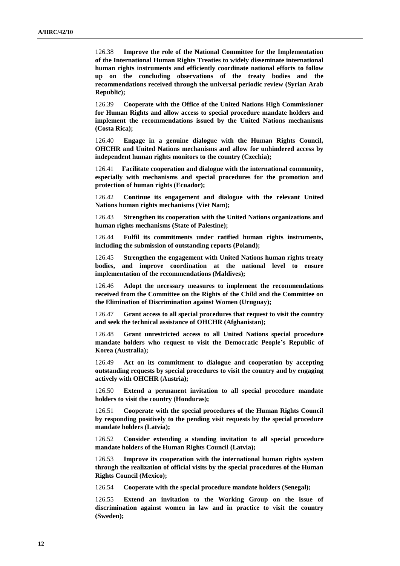126.38 **Improve the role of the National Committee for the Implementation of the International Human Rights Treaties to widely disseminate international human rights instruments and efficiently coordinate national efforts to follow up on the concluding observations of the treaty bodies and the recommendations received through the universal periodic review (Syrian Arab Republic);**

126.39 **Cooperate with the Office of the United Nations High Commissioner for Human Rights and allow access to special procedure mandate holders and implement the recommendations issued by the United Nations mechanisms (Costa Rica);**

126.40 **Engage in a genuine dialogue with the Human Rights Council, OHCHR and United Nations mechanisms and allow for unhindered access by independent human rights monitors to the country (Czechia);**

126.41 **Facilitate cooperation and dialogue with the international community, especially with mechanisms and special procedures for the promotion and protection of human rights (Ecuador);**

126.42 **Continue its engagement and dialogue with the relevant United Nations human rights mechanisms (Viet Nam);**

126.43 **Strengthen its cooperation with the United Nations organizations and human rights mechanisms (State of Palestine);**

126.44 **Fulfil its commitments under ratified human rights instruments, including the submission of outstanding reports (Poland);**

126.45 **Strengthen the engagement with United Nations human rights treaty bodies, and improve coordination at the national level to ensure implementation of the recommendations (Maldives);**

126.46 **Adopt the necessary measures to implement the recommendations received from the Committee on the Rights of the Child and the Committee on the Elimination of Discrimination against Women (Uruguay);**

126.47 **Grant access to all special procedures that request to visit the country and seek the technical assistance of OHCHR (Afghanistan);**

126.48 **Grant unrestricted access to all United Nations special procedure mandate holders who request to visit the Democratic People's Republic of Korea (Australia);**

126.49 **Act on its commitment to dialogue and cooperation by accepting outstanding requests by special procedures to visit the country and by engaging actively with OHCHR (Austria);**

126.50 **Extend a permanent invitation to all special procedure mandate holders to visit the country (Honduras);**

126.51 **Cooperate with the special procedures of the Human Rights Council by responding positively to the pending visit requests by the special procedure mandate holders (Latvia);**

126.52 **Consider extending a standing invitation to all special procedure mandate holders of the Human Rights Council (Latvia);**

126.53 **Improve its cooperation with the international human rights system through the realization of official visits by the special procedures of the Human Rights Council (Mexico);**

126.54 **Cooperate with the special procedure mandate holders (Senegal);**

126.55 **Extend an invitation to the Working Group on the issue of discrimination against women in law and in practice to visit the country (Sweden);**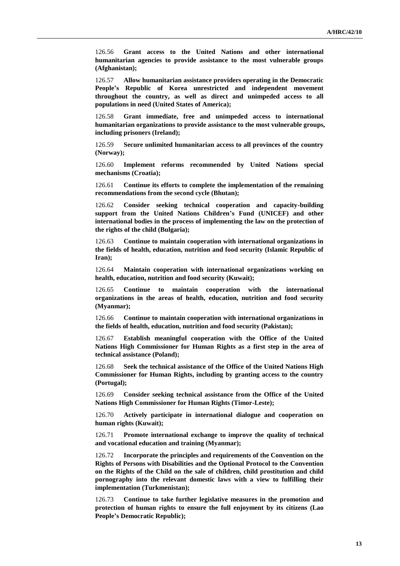126.56 **Grant access to the United Nations and other international humanitarian agencies to provide assistance to the most vulnerable groups (Afghanistan);**

126.57 **Allow humanitarian assistance providers operating in the Democratic People's Republic of Korea unrestricted and independent movement throughout the country, as well as direct and unimpeded access to all populations in need (United States of America);**

126.58 **Grant immediate, free and unimpeded access to international humanitarian organizations to provide assistance to the most vulnerable groups, including prisoners (Ireland);**

126.59 **Secure unlimited humanitarian access to all provinces of the country (Norway);**

126.60 **Implement reforms recommended by United Nations special mechanisms (Croatia);**

126.61 **Continue its efforts to complete the implementation of the remaining recommendations from the second cycle (Bhutan);**

126.62 **Consider seeking technical cooperation and capacity-building support from the United Nations Children's Fund (UNICEF) and other international bodies in the process of implementing the law on the protection of the rights of the child (Bulgaria);**

126.63 **Continue to maintain cooperation with international organizations in the fields of health, education, nutrition and food security (Islamic Republic of Iran);**

126.64 **Maintain cooperation with international organizations working on health, education, nutrition and food security (Kuwait);**

126.65 **Continue to maintain cooperation with the international organizations in the areas of health, education, nutrition and food security (Myanmar);**

126.66 **Continue to maintain cooperation with international organizations in the fields of health, education, nutrition and food security (Pakistan);**

126.67 **Establish meaningful cooperation with the Office of the United Nations High Commissioner for Human Rights as a first step in the area of technical assistance (Poland);**

126.68 **Seek the technical assistance of the Office of the United Nations High Commissioner for Human Rights, including by granting access to the country (Portugal);**

126.69 **Consider seeking technical assistance from the Office of the United Nations High Commissioner for Human Rights (Timor-Leste);**

126.70 **Actively participate in international dialogue and cooperation on human rights (Kuwait);**

126.71 **Promote international exchange to improve the quality of technical and vocational education and training (Myanmar);**

126.72 **Incorporate the principles and requirements of the Convention on the Rights of Persons with Disabilities and the Optional Protocol to the Convention on the Rights of the Child on the sale of children, child prostitution and child pornography into the relevant domestic laws with a view to fulfilling their implementation (Turkmenistan);**

126.73 **Continue to take further legislative measures in the promotion and protection of human rights to ensure the full enjoyment by its citizens (Lao People's Democratic Republic);**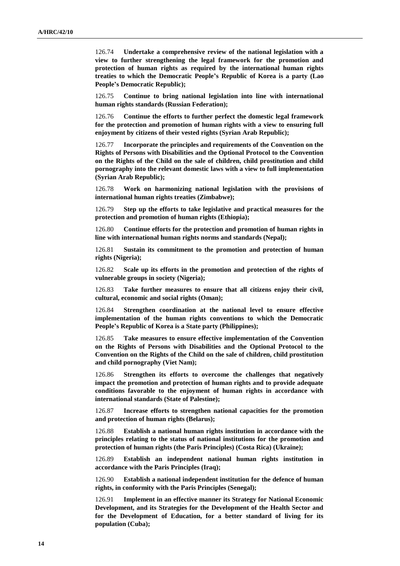126.74 **Undertake a comprehensive review of the national legislation with a view to further strengthening the legal framework for the promotion and protection of human rights as required by the international human rights treaties to which the Democratic People's Republic of Korea is a party (Lao People's Democratic Republic);**

126.75 **Continue to bring national legislation into line with international human rights standards (Russian Federation);** 

126.76 **Continue the efforts to further perfect the domestic legal framework for the protection and promotion of human rights with a view to ensuring full enjoyment by citizens of their vested rights (Syrian Arab Republic);**

126.77 **Incorporate the principles and requirements of the Convention on the Rights of Persons with Disabilities and the Optional Protocol to the Convention on the Rights of the Child on the sale of children, child prostitution and child pornography into the relevant domestic laws with a view to full implementation (Syrian Arab Republic);**

126.78 **Work on harmonizing national legislation with the provisions of international human rights treaties (Zimbabwe);**

126.79 **Step up the efforts to take legislative and practical measures for the protection and promotion of human rights (Ethiopia);**

126.80 **Continue efforts for the protection and promotion of human rights in line with international human rights norms and standards (Nepal);**

126.81 **Sustain its commitment to the promotion and protection of human rights (Nigeria);**

126.82 **Scale up its efforts in the promotion and protection of the rights of vulnerable groups in society (Nigeria);**

126.83 **Take further measures to ensure that all citizens enjoy their civil, cultural, economic and social rights (Oman);**

126.84 **Strengthen coordination at the national level to ensure effective implementation of the human rights conventions to which the Democratic People's Republic of Korea is a State party (Philippines);**

126.85 **Take measures to ensure effective implementation of the Convention on the Rights of Persons with Disabilities and the Optional Protocol to the Convention on the Rights of the Child on the sale of children, child prostitution and child pornography (Viet Nam);**

126.86 **Strengthen its efforts to overcome the challenges that negatively impact the promotion and protection of human rights and to provide adequate conditions favorable to the enjoyment of human rights in accordance with international standards (State of Palestine);**

126.87 **Increase efforts to strengthen national capacities for the promotion and protection of human rights (Belarus);**

126.88 **Establish a national human rights institution in accordance with the principles relating to the status of national institutions for the promotion and protection of human rights (the Paris Principles) (Costa Rica) (Ukraine);**

126.89 **Establish an independent national human rights institution in accordance with the Paris Principles (Iraq);**

126.90 **Establish a national independent institution for the defence of human rights, in conformity with the Paris Principles (Senegal);**

126.91 **Implement in an effective manner its Strategy for National Economic Development, and its Strategies for the Development of the Health Sector and for the Development of Education, for a better standard of living for its population (Cuba);**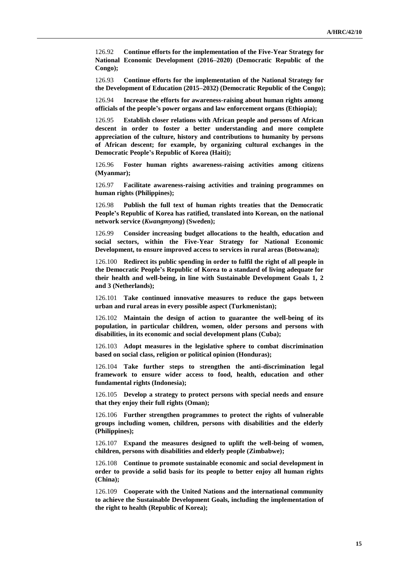126.92 **Continue efforts for the implementation of the Five-Year Strategy for National Economic Development (2016–2020) (Democratic Republic of the Congo);**

126.93 **Continue efforts for the implementation of the National Strategy for the Development of Education (2015–2032) (Democratic Republic of the Congo);**

126.94 **Increase the efforts for awareness-raising about human rights among officials of the people's power organs and law enforcement organs (Ethiopia);**

126.95 **Establish closer relations with African people and persons of African descent in order to foster a better understanding and more complete appreciation of the culture, history and contributions to humanity by persons of African descent; for example, by organizing cultural exchanges in the Democratic People's Republic of Korea (Haiti);**

126.96 **Foster human rights awareness-raising activities among citizens (Myanmar);**

126.97 **Facilitate awareness-raising activities and training programmes on human rights (Philippines);**

126.98 **Publish the full text of human rights treaties that the Democratic People's Republic of Korea has ratified, translated into Korean, on the national network service (***Kwangmyong***) (Sweden);**

126.99 **Consider increasing budget allocations to the health, education and social sectors, within the Five-Year Strategy for National Economic Development, to ensure improved access to services in rural areas (Botswana);**

126.100 **Redirect its public spending in order to fulfil the right of all people in the Democratic People's Republic of Korea to a standard of living adequate for their health and well-being, in line with Sustainable Development Goals 1, 2 and 3 (Netherlands);**

126.101 **Take continued innovative measures to reduce the gaps between urban and rural areas in every possible aspect (Turkmenistan);**

126.102 **Maintain the design of action to guarantee the well-being of its population, in particular children, women, older persons and persons with disabilities, in its economic and social development plans (Cuba);**

126.103 **Adopt measures in the legislative sphere to combat discrimination based on social class, religion or political opinion (Honduras);**

126.104 **Take further steps to strengthen the anti-discrimination legal framework to ensure wider access to food, health, education and other fundamental rights (Indonesia);**

126.105 **Develop a strategy to protect persons with special needs and ensure that they enjoy their full rights (Oman);**

126.106 **Further strengthen programmes to protect the rights of vulnerable groups including women, children, persons with disabilities and the elderly (Philippines);**

126.107 **Expand the measures designed to uplift the well-being of women, children, persons with disabilities and elderly people (Zimbabwe);**

126.108 **Continue to promote sustainable economic and social development in order to provide a solid basis for its people to better enjoy all human rights (China);**

126.109 **Cooperate with the United Nations and the international community to achieve the Sustainable Development Goals, including the implementation of the right to health (Republic of Korea);**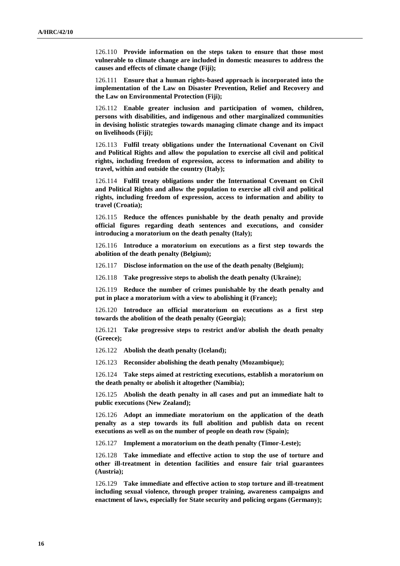126.110 **Provide information on the steps taken to ensure that those most vulnerable to climate change are included in domestic measures to address the causes and effects of climate change (Fiji);**

126.111 **Ensure that a human rights-based approach is incorporated into the implementation of the Law on Disaster Prevention, Relief and Recovery and the Law on Environmental Protection (Fiji);**

126.112 **Enable greater inclusion and participation of women, children, persons with disabilities, and indigenous and other marginalized communities in devising holistic strategies towards managing climate change and its impact on livelihoods (Fiji);**

126.113 **Fulfil treaty obligations under the International Covenant on Civil and Political Rights and allow the population to exercise all civil and political rights, including freedom of expression, access to information and ability to travel, within and outside the country (Italy);**

126.114 **Fulfil treaty obligations under the International Covenant on Civil and Political Rights and allow the population to exercise all civil and political rights, including freedom of expression, access to information and ability to travel (Croatia);**

126.115 **Reduce the offences punishable by the death penalty and provide official figures regarding death sentences and executions, and consider introducing a moratorium on the death penalty (Italy);**

126.116 **Introduce a moratorium on executions as a first step towards the abolition of the death penalty (Belgium);**

126.117 **Disclose information on the use of the death penalty (Belgium);**

126.118 **Take progressive steps to abolish the death penalty (Ukraine);**

126.119 **Reduce the number of crimes punishable by the death penalty and put in place a moratorium with a view to abolishing it (France);**

126.120 **Introduce an official moratorium on executions as a first step towards the abolition of the death penalty (Georgia);**

126.121 **Take progressive steps to restrict and/or abolish the death penalty (Greece);**

126.122 **Abolish the death penalty (Iceland);**

126.123 **Reconsider abolishing the death penalty (Mozambique);**

126.124 **Take steps aimed at restricting executions, establish a moratorium on the death penalty or abolish it altogether (Namibia);**

126.125 **Abolish the death penalty in all cases and put an immediate halt to public executions (New Zealand);**

126.126 **Adopt an immediate moratorium on the application of the death penalty as a step towards its full abolition and publish data on recent executions as well as on the number of people on death row (Spain);**

126.127 **Implement a moratorium on the death penalty (Timor-Leste);**

126.128 **Take immediate and effective action to stop the use of torture and other ill-treatment in detention facilities and ensure fair trial guarantees (Austria);**

126.129 **Take immediate and effective action to stop torture and ill-treatment including sexual violence, through proper training, awareness campaigns and enactment of laws, especially for State security and policing organs (Germany);**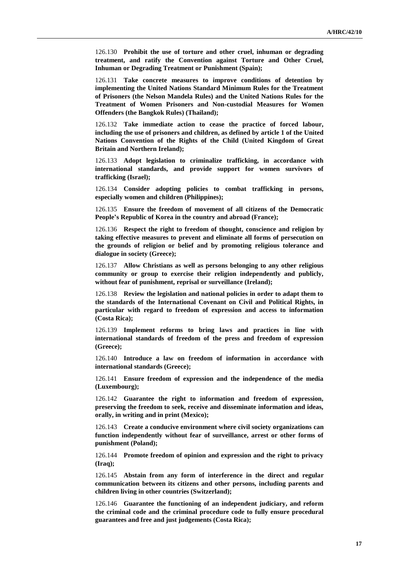126.130 **Prohibit the use of torture and other cruel, inhuman or degrading treatment, and ratify the Convention against Torture and Other Cruel, Inhuman or Degrading Treatment or Punishment (Spain);**

126.131 **Take concrete measures to improve conditions of detention by implementing the United Nations Standard Minimum Rules for the Treatment of Prisoners (the Nelson Mandela Rules) and the United Nations Rules for the Treatment of Women Prisoners and Non-custodial Measures for Women Offenders (the Bangkok Rules) (Thailand);**

126.132 **Take immediate action to cease the practice of forced labour, including the use of prisoners and children, as defined by article 1 of the United Nations Convention of the Rights of the Child (United Kingdom of Great Britain and Northern Ireland);**

126.133 **Adopt legislation to criminalize trafficking, in accordance with international standards, and provide support for women survivors of trafficking (Israel);**

126.134 **Consider adopting policies to combat trafficking in persons, especially women and children (Philippines);**

126.135 **Ensure the freedom of movement of all citizens of the Democratic People's Republic of Korea in the country and abroad (France);**

126.136 **Respect the right to freedom of thought, conscience and religion by taking effective measures to prevent and eliminate all forms of persecution on the grounds of religion or belief and by promoting religious tolerance and dialogue in society (Greece);**

126.137 **Allow Christians as well as persons belonging to any other religious community or group to exercise their religion independently and publicly, without fear of punishment, reprisal or surveillance (Ireland);**

126.138 **Review the legislation and national policies in order to adapt them to the standards of the International Covenant on Civil and Political Rights, in particular with regard to freedom of expression and access to information (Costa Rica);**

126.139 **Implement reforms to bring laws and practices in line with international standards of freedom of the press and freedom of expression (Greece);**

126.140 **Introduce a law on freedom of information in accordance with international standards (Greece);**

126.141 **Ensure freedom of expression and the independence of the media (Luxembourg);**

126.142 **Guarantee the right to information and freedom of expression, preserving the freedom to seek, receive and disseminate information and ideas, orally, in writing and in print (Mexico);**

126.143 **Create a conducive environment where civil society organizations can function independently without fear of surveillance, arrest or other forms of punishment (Poland);**

126.144 **Promote freedom of opinion and expression and the right to privacy (Iraq);**

126.145 **Abstain from any form of interference in the direct and regular communication between its citizens and other persons, including parents and children living in other countries (Switzerland);**

126.146 **Guarantee the functioning of an independent judiciary, and reform the criminal code and the criminal procedure code to fully ensure procedural guarantees and free and just judgements (Costa Rica);**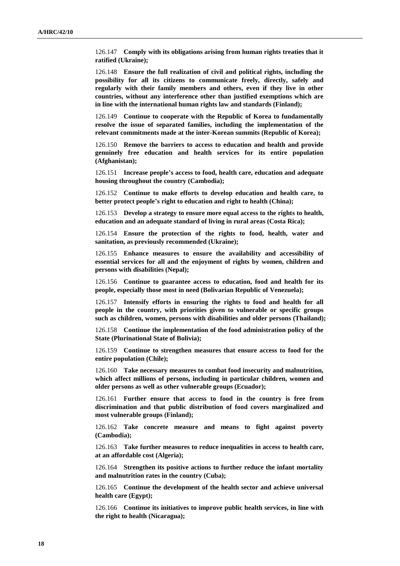126.147 **Comply with its obligations arising from human rights treaties that it ratified (Ukraine);**

126.148 **Ensure the full realization of civil and political rights, including the possibility for all its citizens to communicate freely, directly, safely and regularly with their family members and others, even if they live in other countries, without any interference other than justified exemptions which are in line with the international human rights law and standards (Finland);**

126.149 **Continue to cooperate with the Republic of Korea to fundamentally resolve the issue of separated families, including the implementation of the relevant commitments made at the inter-Korean summits (Republic of Korea);**

126.150 **Remove the barriers to access to education and health and provide genuinely free education and health services for its entire population (Afghanistan);**

126.151 **Increase people's access to food, health care, education and adequate housing throughout the country (Cambodia);**

126.152 **Continue to make efforts to develop education and health care, to better protect people's right to education and right to health (China);**

126.153 **Develop a strategy to ensure more equal access to the rights to health, education and an adequate standard of living in rural areas (Costa Rica);**

126.154 **Ensure the protection of the rights to food, health, water and sanitation, as previously recommended (Ukraine);**

126.155 **Enhance measures to ensure the availability and accessibility of essential services for all and the enjoyment of rights by women, children and persons with disabilities (Nepal);**

126.156 **Continue to guarantee access to education, food and health for its people, especially those most in need (Bolivarian Republic of Venezuela);**

126.157 **Intensify efforts in ensuring the rights to food and health for all people in the country, with priorities given to vulnerable or specific groups such as children, women, persons with disabilities and older persons (Thailand);**

126.158 **Continue the implementation of the food administration policy of the State (Plurinational State of Bolivia);**

126.159 **Continue to strengthen measures that ensure access to food for the entire population (Chile);**

126.160 **Take necessary measures to combat food insecurity and malnutrition, which affect millions of persons, including in particular children, women and older persons as well as other vulnerable groups (Ecuador);**

126.161 **Further ensure that access to food in the country is free from discrimination and that public distribution of food covers marginalized and most vulnerable groups (Finland);**

126.162 **Take concrete measure and means to fight against poverty (Cambodia);**

126.163 **Take further measures to reduce inequalities in access to health care, at an affordable cost (Algeria);**

126.164 **Strengthen its positive actions to further reduce the infant mortality and malnutrition rates in the country (Cuba);**

126.165 **Continue the development of the health sector and achieve universal health care (Egypt);**

126.166 **Continue its initiatives to improve public health services, in line with the right to health (Nicaragua);**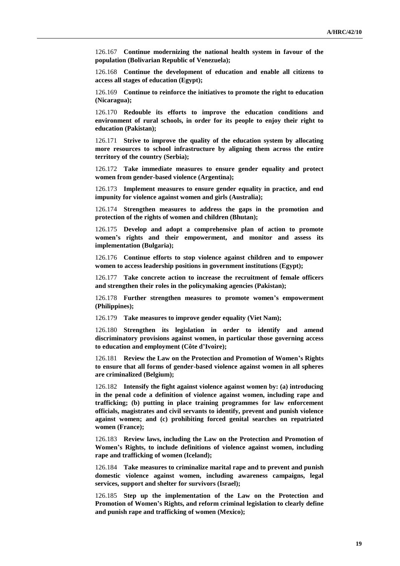126.167 **Continue modernizing the national health system in favour of the population (Bolivarian Republic of Venezuela);**

126.168 **Continue the development of education and enable all citizens to access all stages of education (Egypt);**

126.169 **Continue to reinforce the initiatives to promote the right to education (Nicaragua);**

126.170 **Redouble its efforts to improve the education conditions and environment of rural schools, in order for its people to enjoy their right to education (Pakistan);**

126.171 **Strive to improve the quality of the education system by allocating more resources to school infrastructure by aligning them across the entire territory of the country (Serbia);**

126.172 **Take immediate measures to ensure gender equality and protect women from gender-based violence (Argentina);**

126.173 **Implement measures to ensure gender equality in practice, and end impunity for violence against women and girls (Australia);**

126.174 **Strengthen measures to address the gaps in the promotion and protection of the rights of women and children (Bhutan);**

126.175 **Develop and adopt a comprehensive plan of action to promote women's rights and their empowerment, and monitor and assess its implementation (Bulgaria);**

126.176 **Continue efforts to stop violence against children and to empower women to access leadership positions in government institutions (Egypt);**

126.177 **Take concrete action to increase the recruitment of female officers and strengthen their roles in the policymaking agencies (Pakistan);**

126.178 **Further strengthen measures to promote women's empowerment (Philippines);**

126.179 **Take measures to improve gender equality (Viet Nam);**

126.180 **Strengthen its legislation in order to identify and amend discriminatory provisions against women, in particular those governing access to education and employment (Côte d'Ivoire);**

126.181 **Review the Law on the Protection and Promotion of Women's Rights to ensure that all forms of gender-based violence against women in all spheres are criminalized (Belgium);**

126.182 **Intensify the fight against violence against women by: (a) introducing in the penal code a definition of violence against women, including rape and trafficking; (b) putting in place training programmes for law enforcement officials, magistrates and civil servants to identify, prevent and punish violence against women; and (c) prohibiting forced genital searches on repatriated women (France);**

126.183 **Review laws, including the Law on the Protection and Promotion of Women's Rights, to include definitions of violence against women, including rape and trafficking of women (Iceland);**

126.184 **Take measures to criminalize marital rape and to prevent and punish domestic violence against women, including awareness campaigns, legal services, support and shelter for survivors (Israel);**

126.185 **Step up the implementation of the Law on the Protection and Promotion of Women's Rights, and reform criminal legislation to clearly define and punish rape and trafficking of women (Mexico);**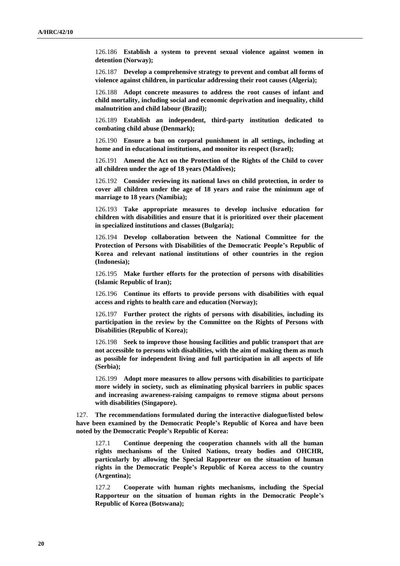126.186 **Establish a system to prevent sexual violence against women in detention (Norway);**

126.187 **Develop a comprehensive strategy to prevent and combat all forms of violence against children, in particular addressing their root causes (Algeria);**

126.188 **Adopt concrete measures to address the root causes of infant and child mortality, including social and economic deprivation and inequality, child malnutrition and child labour (Brazil);**

126.189 **Establish an independent, third-party institution dedicated to combating child abuse (Denmark);**

126.190 **Ensure a ban on corporal punishment in all settings, including at home and in educational institutions, and monitor its respect (Israel);**

126.191 **Amend the Act on the Protection of the Rights of the Child to cover all children under the age of 18 years (Maldives);**

126.192 **Consider reviewing its national laws on child protection, in order to cover all children under the age of 18 years and raise the minimum age of marriage to 18 years (Namibia);**

126.193 **Take appropriate measures to develop inclusive education for children with disabilities and ensure that it is prioritized over their placement in specialized institutions and classes (Bulgaria);**

126.194 **Develop collaboration between the National Committee for the Protection of Persons with Disabilities of the Democratic People's Republic of Korea and relevant national institutions of other countries in the region (Indonesia);**

126.195 **Make further efforts for the protection of persons with disabilities (Islamic Republic of Iran);**

126.196 **Continue its efforts to provide persons with disabilities with equal access and rights to health care and education (Norway);**

126.197 **Further protect the rights of persons with disabilities, including its participation in the review by the Committee on the Rights of Persons with Disabilities (Republic of Korea);**

126.198 **Seek to improve those housing facilities and public transport that are not accessible to persons with disabilities, with the aim of making them as much as possible for independent living and full participation in all aspects of life (Serbia);**

126.199 **Adopt more measures to allow persons with disabilities to participate more widely in society, such as eliminating physical barriers in public spaces and increasing awareness-raising campaigns to remove stigma about persons with disabilities (Singapore).**

127. **The recommendations formulated during the interactive dialogue/listed below have been examined by the Democratic People's Republic of Korea and have been noted by the Democratic People's Republic of Korea:**

127.1 **Continue deepening the cooperation channels with all the human rights mechanisms of the United Nations, treaty bodies and OHCHR, particularly by allowing the Special Rapporteur on the situation of human rights in the Democratic People's Republic of Korea access to the country (Argentina);**

127.2 **Cooperate with human rights mechanisms, including the Special Rapporteur on the situation of human rights in the Democratic People's Republic of Korea (Botswana);**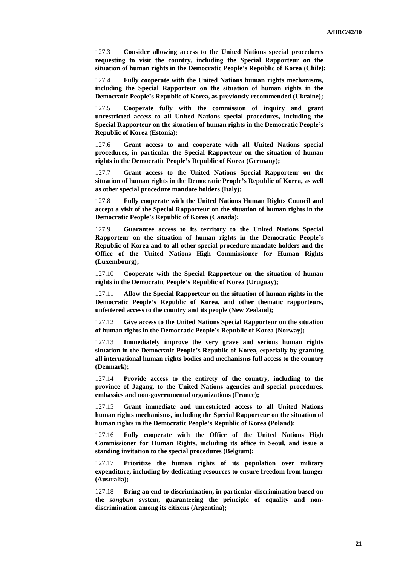127.3 **Consider allowing access to the United Nations special procedures requesting to visit the country, including the Special Rapporteur on the situation of human rights in the Democratic People's Republic of Korea (Chile);**

127.4 **Fully cooperate with the United Nations human rights mechanisms, including the Special Rapporteur on the situation of human rights in the Democratic People's Republic of Korea, as previously recommended (Ukraine);**

127.5 **Cooperate fully with the commission of inquiry and grant unrestricted access to all United Nations special procedures, including the Special Rapporteur on the situation of human rights in the Democratic People's Republic of Korea (Estonia);**

127.6 **Grant access to and cooperate with all United Nations special procedures, in particular the Special Rapporteur on the situation of human rights in the Democratic People's Republic of Korea (Germany);**

127.7 **Grant access to the United Nations Special Rapporteur on the situation of human rights in the Democratic People's Republic of Korea, as well as other special procedure mandate holders (Italy);**

127.8 **Fully cooperate with the United Nations Human Rights Council and accept a visit of the Special Rapporteur on the situation of human rights in the Democratic People's Republic of Korea (Canada);**

127.9 **Guarantee access to its territory to the United Nations Special Rapporteur on the situation of human rights in the Democratic People's Republic of Korea and to all other special procedure mandate holders and the Office of the United Nations High Commissioner for Human Rights (Luxembourg);**

127.10 **Cooperate with the Special Rapporteur on the situation of human rights in the Democratic People's Republic of Korea (Uruguay);**

127.11 **Allow the Special Rapporteur on the situation of human rights in the Democratic People's Republic of Korea, and other thematic rapporteurs, unfettered access to the country and its people (New Zealand);**

127.12 **Give access to the United Nations Special Rapporteur on the situation of human rights in the Democratic People's Republic of Korea (Norway);**

127.13 **Immediately improve the very grave and serious human rights situation in the Democratic People's Republic of Korea, especially by granting all international human rights bodies and mechanisms full access to the country (Denmark);**

127.14 **Provide access to the entirety of the country, including to the province of Jagang, to the United Nations agencies and special procedures, embassies and non-governmental organizations (France);**

127.15 **Grant immediate and unrestricted access to all United Nations human rights mechanisms, including the Special Rapporteur on the situation of human rights in the Democratic People's Republic of Korea (Poland);**

127.16 **Fully cooperate with the Office of the United Nations High Commissioner for Human Rights, including its office in Seoul, and issue a standing invitation to the special procedures (Belgium);**

127.17 **Prioritize the human rights of its population over military expenditure, including by dedicating resources to ensure freedom from hunger (Australia);**

127.18 **Bring an end to discrimination, in particular discrimination based on the** *songbun* **system, guaranteeing the principle of equality and nondiscrimination among its citizens (Argentina);**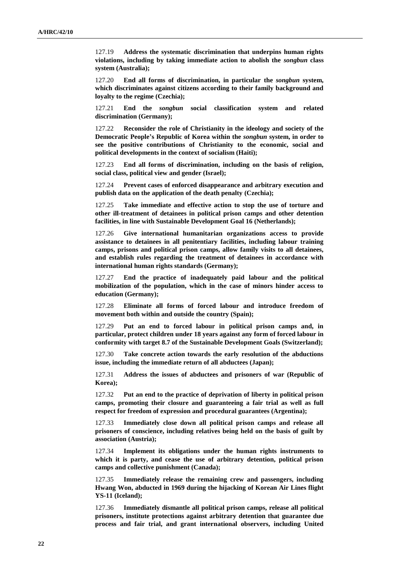127.19 **Address the systematic discrimination that underpins human rights violations, including by taking immediate action to abolish the** *songbun* **class system (Australia);**

127.20 **End all forms of discrimination, in particular the** *songbun* **system, which discriminates against citizens according to their family background and loyalty to the regime (Czechia);**

127.21 **End the** *songbun* **social classification system and related discrimination (Germany);**

127.22 **Reconsider the role of Christianity in the ideology and society of the Democratic People's Republic of Korea within the** *songbun* **system, in order to see the positive contributions of Christianity to the economic, social and political developments in the context of socialism (Haiti);**

127.23 **End all forms of discrimination, including on the basis of religion, social class, political view and gender (Israel);**

127.24 **Prevent cases of enforced disappearance and arbitrary execution and publish data on the application of the death penalty (Czechia);**

127.25 **Take immediate and effective action to stop the use of torture and other ill-treatment of detainees in political prison camps and other detention facilities, in line with Sustainable Development Goal 16 (Netherlands);**

127.26 **Give international humanitarian organizations access to provide assistance to detainees in all penitentiary facilities, including labour training camps, prisons and political prison camps, allow family visits to all detainees, and establish rules regarding the treatment of detainees in accordance with international human rights standards (Germany);**

127.27 **End the practice of inadequately paid labour and the political mobilization of the population, which in the case of minors hinder access to education (Germany);**

127.28 **Eliminate all forms of forced labour and introduce freedom of movement both within and outside the country (Spain);**

127.29 **Put an end to forced labour in political prison camps and, in particular, protect children under 18 years against any form of forced labour in conformity with target 8.7 of the Sustainable Development Goals (Switzerland);**

127.30 **Take concrete action towards the early resolution of the abductions issue, including the immediate return of all abductees (Japan);**

127.31 **Address the issues of abductees and prisoners of war (Republic of Korea);**

127.32 **Put an end to the practice of deprivation of liberty in political prison camps, promoting their closure and guaranteeing a fair trial as well as full respect for freedom of expression and procedural guarantees (Argentina);**

127.33 **Immediately close down all political prison camps and release all prisoners of conscience, including relatives being held on the basis of guilt by association (Austria);**

127.34 **Implement its obligations under the human rights instruments to which it is party, and cease the use of arbitrary detention, political prison camps and collective punishment (Canada);**

127.35 **Immediately release the remaining crew and passengers, including Hwang Won, abducted in 1969 during the hijacking of Korean Air Lines flight YS-11 (Iceland);**

127.36 **Immediately dismantle all political prison camps, release all political prisoners, institute protections against arbitrary detention that guarantee due process and fair trial, and grant international observers, including United**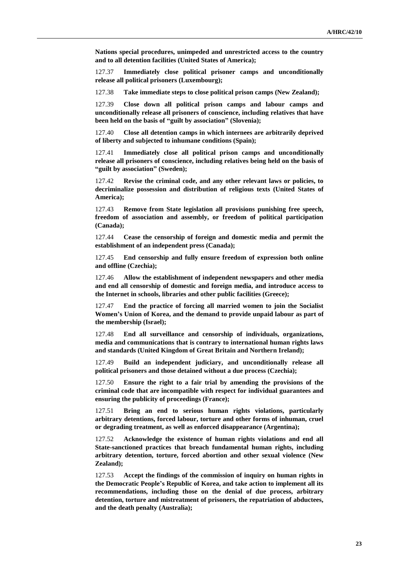**Nations special procedures, unimpeded and unrestricted access to the country and to all detention facilities (United States of America);**

127.37 **Immediately close political prisoner camps and unconditionally release all political prisoners (Luxembourg);**

127.38 **Take immediate steps to close political prison camps (New Zealand);**

127.39 **Close down all political prison camps and labour camps and unconditionally release all prisoners of conscience, including relatives that have been held on the basis of "guilt by association" (Slovenia);**

127.40 **Close all detention camps in which internees are arbitrarily deprived of liberty and subjected to inhumane conditions (Spain);**

127.41 **Immediately close all political prison camps and unconditionally release all prisoners of conscience, including relatives being held on the basis of "guilt by association" (Sweden);**

127.42 **Revise the criminal code, and any other relevant laws or policies, to decriminalize possession and distribution of religious texts (United States of America);**

127.43 **Remove from State legislation all provisions punishing free speech, freedom of association and assembly, or freedom of political participation (Canada);**

127.44 **Cease the censorship of foreign and domestic media and permit the establishment of an independent press (Canada);**

127.45 **End censorship and fully ensure freedom of expression both online and offline (Czechia);**

127.46 **Allow the establishment of independent newspapers and other media and end all censorship of domestic and foreign media, and introduce access to the Internet in schools, libraries and other public facilities (Greece);**

127.47 **End the practice of forcing all married women to join the Socialist Women's Union of Korea, and the demand to provide unpaid labour as part of the membership (Israel);**

127.48 **End all surveillance and censorship of individuals, organizations, media and communications that is contrary to international human rights laws and standards (United Kingdom of Great Britain and Northern Ireland);**

127.49 **Build an independent judiciary, and unconditionally release all political prisoners and those detained without a due process (Czechia);**

127.50 **Ensure the right to a fair trial by amending the provisions of the criminal code that are incompatible with respect for individual guarantees and ensuring the publicity of proceedings (France);**

127.51 **Bring an end to serious human rights violations, particularly arbitrary detentions, forced labour, torture and other forms of inhuman, cruel or degrading treatment, as well as enforced disappearance (Argentina);**

127.52 **Acknowledge the existence of human rights violations and end all State-sanctioned practices that breach fundamental human rights, including arbitrary detention, torture, forced abortion and other sexual violence (New Zealand);**

127.53 **Accept the findings of the commission of inquiry on human rights in the Democratic People's Republic of Korea, and take action to implement all its recommendations, including those on the denial of due process, arbitrary detention, torture and mistreatment of prisoners, the repatriation of abductees, and the death penalty (Australia);**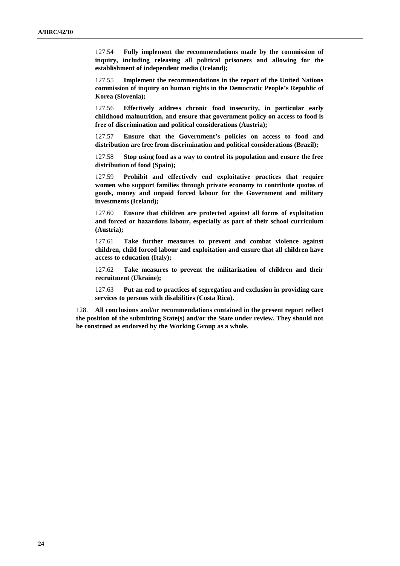127.54 **Fully implement the recommendations made by the commission of inquiry, including releasing all political prisoners and allowing for the establishment of independent media (Iceland);**

127.55 **Implement the recommendations in the report of the United Nations commission of inquiry on human rights in the Democratic People's Republic of Korea (Slovenia);**

127.56 **Effectively address chronic food insecurity, in particular early childhood malnutrition, and ensure that government policy on access to food is free of discrimination and political considerations (Austria);**

127.57 **Ensure that the Government's policies on access to food and distribution are free from discrimination and political considerations (Brazil);**

127.58 **Stop using food as a way to control its population and ensure the free distribution of food (Spain);**

127.59 **Prohibit and effectively end exploitative practices that require women who support families through private economy to contribute quotas of goods, money and unpaid forced labour for the Government and military investments (Iceland);**

127.60 **Ensure that children are protected against all forms of exploitation and forced or hazardous labour, especially as part of their school curriculum (Austria);**

127.61 **Take further measures to prevent and combat violence against children, child forced labour and exploitation and ensure that all children have access to education (Italy);**

127.62 **Take measures to prevent the militarization of children and their recruitment (Ukraine);**

127.63 **Put an end to practices of segregation and exclusion in providing care services to persons with disabilities (Costa Rica).**

128. **All conclusions and/or recommendations contained in the present report reflect the position of the submitting State(s) and/or the State under review. They should not be construed as endorsed by the Working Group as a whole.**